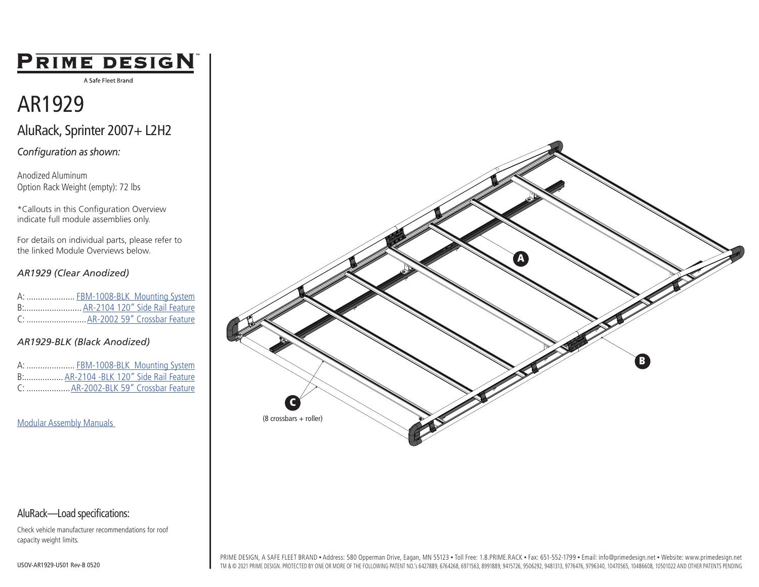## PRIME DESIGN

A Safe Fleet Brand

## AR1929

AluRack, Sprinter 2007+ L2H2

*Configuration as shown:*

Anodized Aluminum Option Rack Weight (empty): 72 lbs

\*Callouts in this Configuration Overview indicate full module assemblies only.

For details on individual parts, please refer to the linked Module Overviews below.

#### *AR1929 (Clear Anodized)*

|  | A:  FBM-1008-BLK Mounting System  |
|--|-----------------------------------|
|  | B: AR-2104 120" Side Rail Feature |
|  |                                   |

#### *AR1929-BLK (Black Anodized)*

| A:  FBM-1008-BLK Mounting System        |  |
|-----------------------------------------|--|
| B: AR-2104 - BLK 120" Side Rail Feature |  |
| C:  AR-2002-BLK 59" Crossbar Feature    |  |

[Modular Assembly Manuals](https://www.primedesign.net/document-library/#modular-assembly-manuals-tab) 



Check vehicle manufacturer recommendations for roof capacity weight limits.